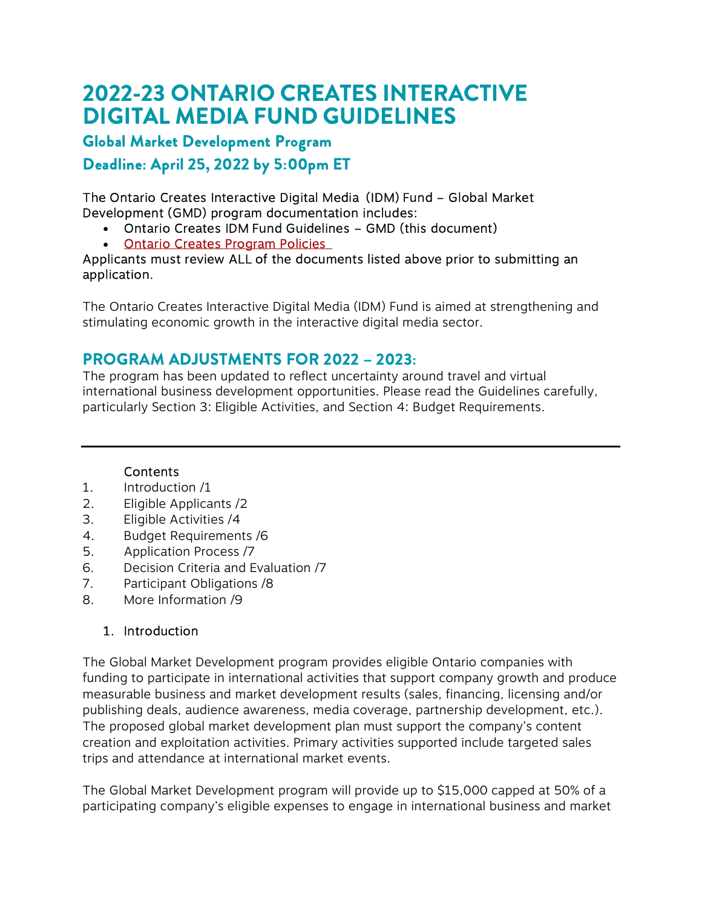# 2022-23 ONTARIO CREATES INTERACTIVE DIGITAL MEDIA FUND GUIDELINES

## Global Market Development Program

Deadline: April 25, 2022 by 5:00pm ET

The Ontario Creates Interactive Digital Media (IDM) Fund – Global Market Development (GMD) program documentation includes:

- Ontario Creates IDM Fund Guidelines GMD (this document)
- **[Ontario Creates Program Policies](https://ontariocreates.ca/uploads/Industry_Initiatives/ENG/OC-Program-Policies_FINAL.pdf)**

#### Applicants must review ALL of the documents listed above prior to submitting an application.

The Ontario Creates Interactive Digital Media (IDM) Fund is aimed at strengthening and stimulating economic growth in the interactive digital media sector.

# PROGRAM ADJUSTMENTS FOR 2022 – 2023:

The program has been updated to reflect uncertainty around travel and virtual international business development opportunities. Please read the Guidelines carefully, particularly Section 3: Eligible Activities, and Section 4: Budget Requirements.

#### Contents

- 1. Introduction /1
- 2. Eligible Applicants /2
- 3. Eligible Activities /4
- 4. Budget Requirements /6
- 5. Application Process /7
- 6. Decision Criteria and Evaluation /7
- 7. Participant Obligations /8
- 8. More Information /9

## 1. Introduction

The Global Market Development program provides eligible Ontario companies with funding to participate in international activities that support company growth and produce measurable business and market development results (sales, financing, licensing and/or publishing deals, audience awareness, media coverage, partnership development, etc.). The proposed global market development plan must support the company's content creation and exploitation activities. Primary activities supported include targeted sales trips and attendance at international market events.

The Global Market Development program will provide up to \$15,000 capped at 50% of a participating company's eligible expenses to engage in international business and market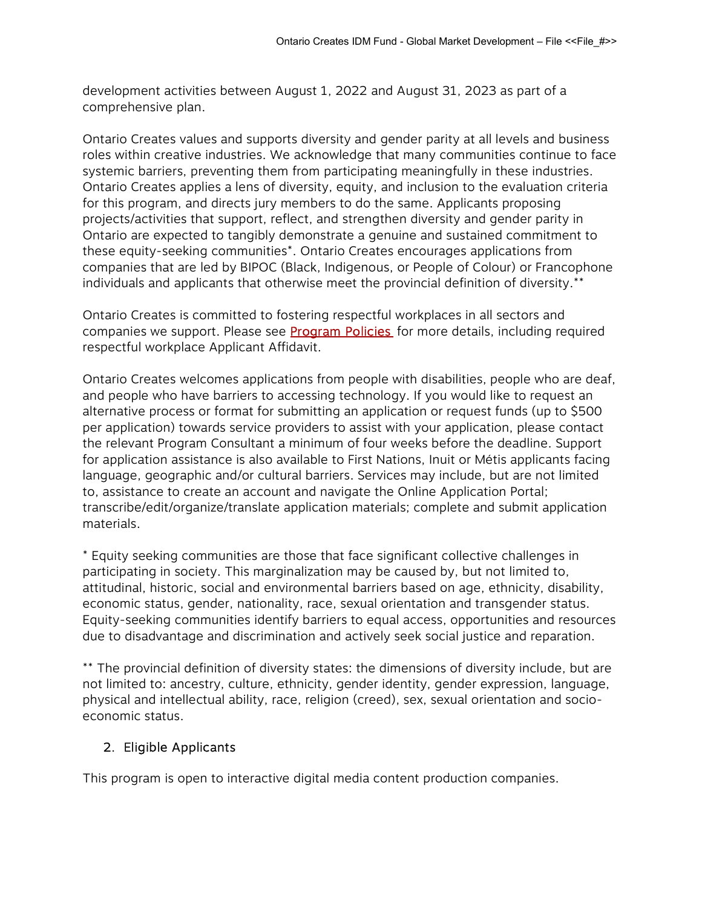development activities between August 1, 2022 and August 31, 2023 as part of a comprehensive plan.

Ontario Creates values and supports diversity and gender parity at all levels and business roles within creative industries. We acknowledge that many communities continue to face systemic barriers, preventing them from participating meaningfully in these industries. Ontario Creates applies a lens of diversity, equity, and inclusion to the evaluation criteria for this program, and directs jury members to do the same. Applicants proposing projects/activities that support, reflect, and strengthen diversity and gender parity in Ontario are expected to tangibly demonstrate a genuine and sustained commitment to these equity-seeking communities\*. Ontario Creates encourages applications from companies that are led by BIPOC (Black, Indigenous, or People of Colour) or Francophone individuals and applicants that otherwise meet the provincial definition of diversity.\*\*

Ontario Creates is committed to fostering respectful workplaces in all sectors and companies we support. Please see **Program Policies** for more details, including required respectful workplace Applicant Affidavit.

Ontario Creates welcomes applications from people with disabilities, people who are deaf, and people who have barriers to accessing technology. If you would like to request an alternative process or format for submitting an application or request funds (up to \$500 per application) towards service providers to assist with your application, please contact the relevant Program Consultant a minimum of four weeks before the deadline. Support for application assistance is also available to First Nations, Inuit or Métis applicants facing language, geographic and/or cultural barriers. Services may include, but are not limited to, assistance to create an account and navigate the Online Application Portal; transcribe/edit/organize/translate application materials; complete and submit application materials.

\* Equity seeking communities are those that face significant collective challenges in participating in society. This marginalization may be caused by, but not limited to, attitudinal, historic, social and environmental barriers based on age, ethnicity, disability, economic status, gender, nationality, race, sexual orientation and transgender status. Equity-seeking communities identify barriers to equal access, opportunities and resources due to disadvantage and discrimination and actively seek social justice and reparation.

\*\* The provincial definition of diversity states: the dimensions of diversity include, but are not limited to: ancestry, culture, ethnicity, gender identity, gender expression, language, physical and intellectual ability, race, religion (creed), sex, sexual orientation and socioeconomic status.

#### 2. Eligible Applicants

This program is open to interactive digital media content production companies.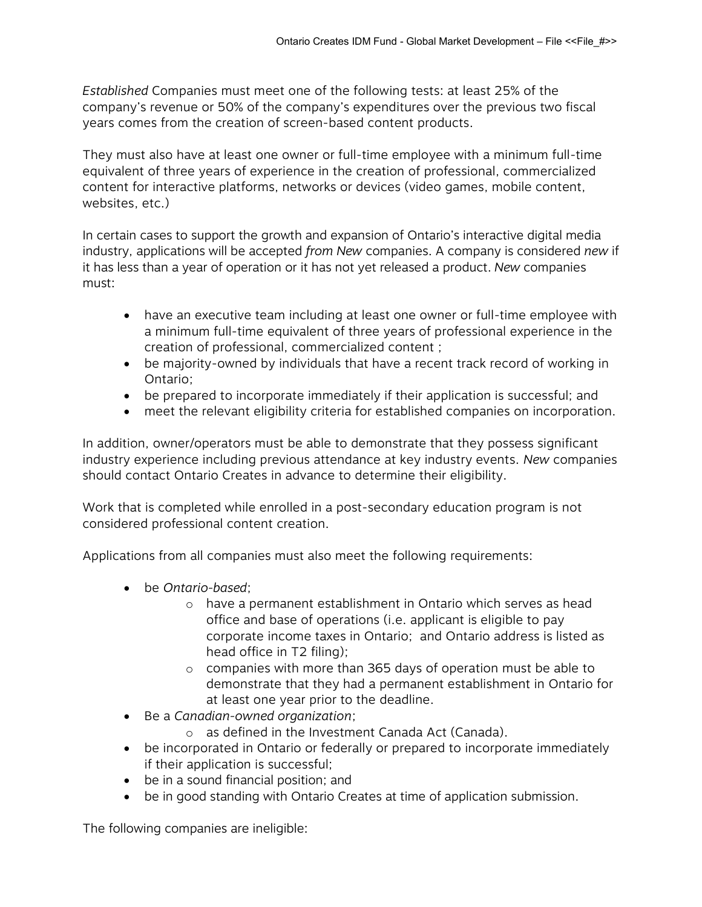Established Companies must meet one of the following tests: at least 25% of the company's revenue or 50% of the company's expenditures over the previous two fiscal years comes from the creation of screen-based content products.

They must also have at least one owner or full-time employee with a minimum full-time equivalent of three years of experience in the creation of professional, commercialized content for interactive platforms, networks or devices (video games, mobile content, websites, etc.)

In certain cases to support the growth and expansion of Ontario's interactive digital media industry, applications will be accepted from New companies. A company is considered new if it has less than a year of operation or it has not yet released a product. New companies must:

- have an executive team including at least one owner or full-time employee with a minimum full-time equivalent of three years of professional experience in the creation of professional, commercialized content ;
- be majority-owned by individuals that have a recent track record of working in Ontario;
- be prepared to incorporate immediately if their application is successful; and
- meet the relevant eligibility criteria for established companies on incorporation.

In addition, owner/operators must be able to demonstrate that they possess significant industry experience including previous attendance at key industry events. New companies should contact Ontario Creates in advance to determine their eligibility.

Work that is completed while enrolled in a post-secondary education program is not considered professional content creation.

Applications from all companies must also meet the following requirements:

- be Ontario-based;
	- o have a permanent establishment in Ontario which serves as head office and base of operations (i.e. applicant is eligible to pay corporate income taxes in Ontario; and Ontario address is listed as head office in T2 filing);
	- o companies with more than 365 days of operation must be able to demonstrate that they had a permanent establishment in Ontario for at least one year prior to the deadline.
- Be a Canadian-owned organization:
	- o as defined in the Investment Canada Act (Canada).
- be incorporated in Ontario or federally or prepared to incorporate immediately if their application is successful;
- be in a sound financial position; and
- be in good standing with Ontario Creates at time of application submission.

The following companies are ineligible: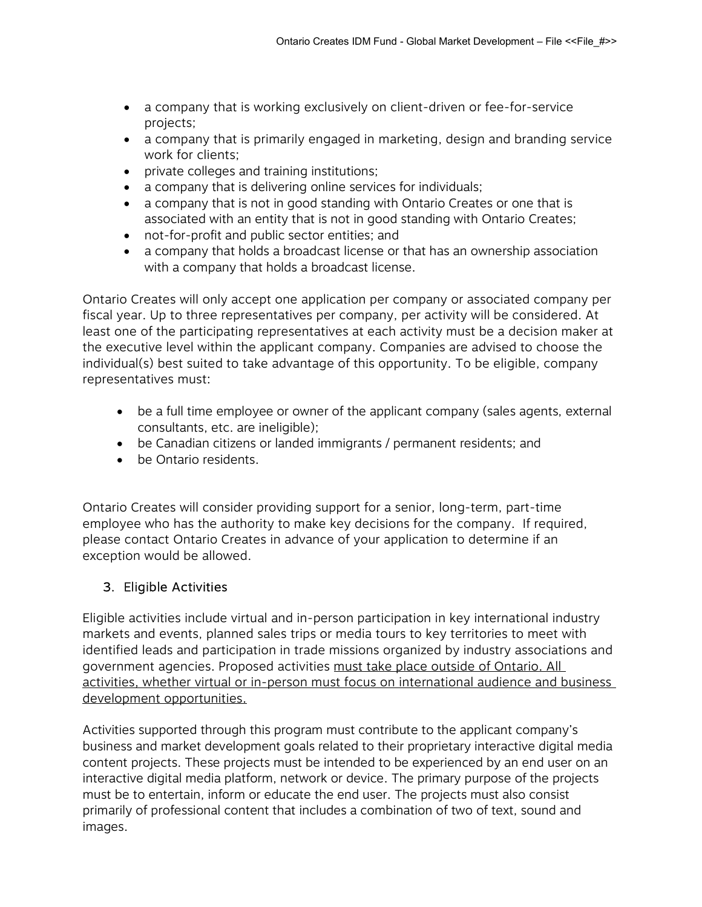- a company that is working exclusively on client-driven or fee-for-service projects;
- a company that is primarily engaged in marketing, design and branding service work for clients;
- private colleges and training institutions;
- a company that is delivering online services for individuals;
- a company that is not in good standing with Ontario Creates or one that is associated with an entity that is not in good standing with Ontario Creates;
- not-for-profit and public sector entities; and
- a company that holds a broadcast license or that has an ownership association with a company that holds a broadcast license.

Ontario Creates will only accept one application per company or associated company per fiscal year. Up to three representatives per company, per activity will be considered. At least one of the participating representatives at each activity must be a decision maker at the executive level within the applicant company. Companies are advised to choose the individual(s) best suited to take advantage of this opportunity. To be eligible, company representatives must:

- be a full time employee or owner of the applicant company (sales agents, external consultants, etc. are ineligible);
- be Canadian citizens or landed immigrants / permanent residents; and
- be Ontario residents.

Ontario Creates will consider providing support for a senior, long-term, part-time employee who has the authority to make key decisions for the company. If required, please contact Ontario Creates in advance of your application to determine if an exception would be allowed.

#### 3. Eligible Activities

Eligible activities include virtual and in-person participation in key international industry markets and events, planned sales trips or media tours to key territories to meet with identified leads and participation in trade missions organized by industry associations and government agencies. Proposed activities must take place outside of Ontario. All activities, whether virtual or in-person must focus on international audience and business development opportunities.

Activities supported through this program must contribute to the applicant company's business and market development goals related to their proprietary interactive digital media content projects. These projects must be intended to be experienced by an end user on an interactive digital media platform, network or device. The primary purpose of the projects must be to entertain, inform or educate the end user. The projects must also consist primarily of professional content that includes a combination of two of text, sound and images.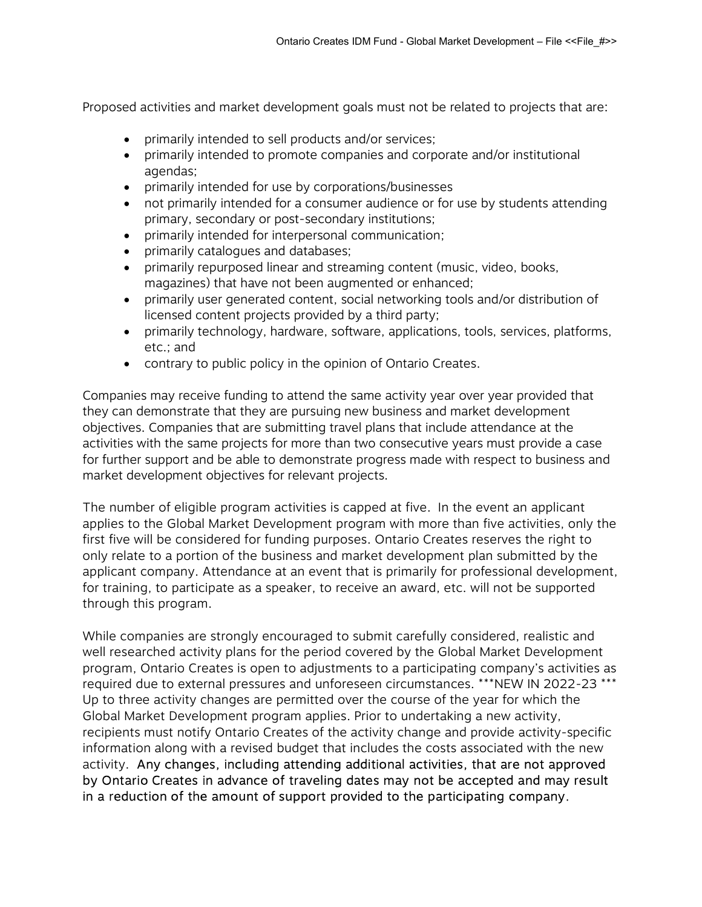Proposed activities and market development goals must not be related to projects that are:

- primarily intended to sell products and/or services;
- primarily intended to promote companies and corporate and/or institutional agendas;
- primarily intended for use by corporations/businesses
- not primarily intended for a consumer audience or for use by students attending primary, secondary or post-secondary institutions;
- primarily intended for interpersonal communication;
- primarily catalogues and databases;
- primarily repurposed linear and streaming content (music, video, books, magazines) that have not been augmented or enhanced;
- primarily user generated content, social networking tools and/or distribution of licensed content projects provided by a third party;
- primarily technology, hardware, software, applications, tools, services, platforms, etc.; and
- contrary to public policy in the opinion of Ontario Creates.

Companies may receive funding to attend the same activity year over year provided that they can demonstrate that they are pursuing new business and market development objectives. Companies that are submitting travel plans that include attendance at the activities with the same projects for more than two consecutive years must provide a case for further support and be able to demonstrate progress made with respect to business and market development objectives for relevant projects.

The number of eligible program activities is capped at five. In the event an applicant applies to the Global Market Development program with more than five activities, only the first five will be considered for funding purposes. Ontario Creates reserves the right to only relate to a portion of the business and market development plan submitted by the applicant company. Attendance at an event that is primarily for professional development, for training, to participate as a speaker, to receive an award, etc. will not be supported through this program.

While companies are strongly encouraged to submit carefully considered, realistic and well researched activity plans for the period covered by the Global Market Development program, Ontario Creates is open to adjustments to a participating company's activities as required due to external pressures and unforeseen circumstances. \*\*\*NEW IN 2022-23 \*\*\* Up to three activity changes are permitted over the course of the year for which the Global Market Development program applies. Prior to undertaking a new activity, recipients must notify Ontario Creates of the activity change and provide activity-specific information along with a revised budget that includes the costs associated with the new activity. Any changes, including attending additional activities, that are not approved by Ontario Creates in advance of traveling dates may not be accepted and may result in a reduction of the amount of support provided to the participating company.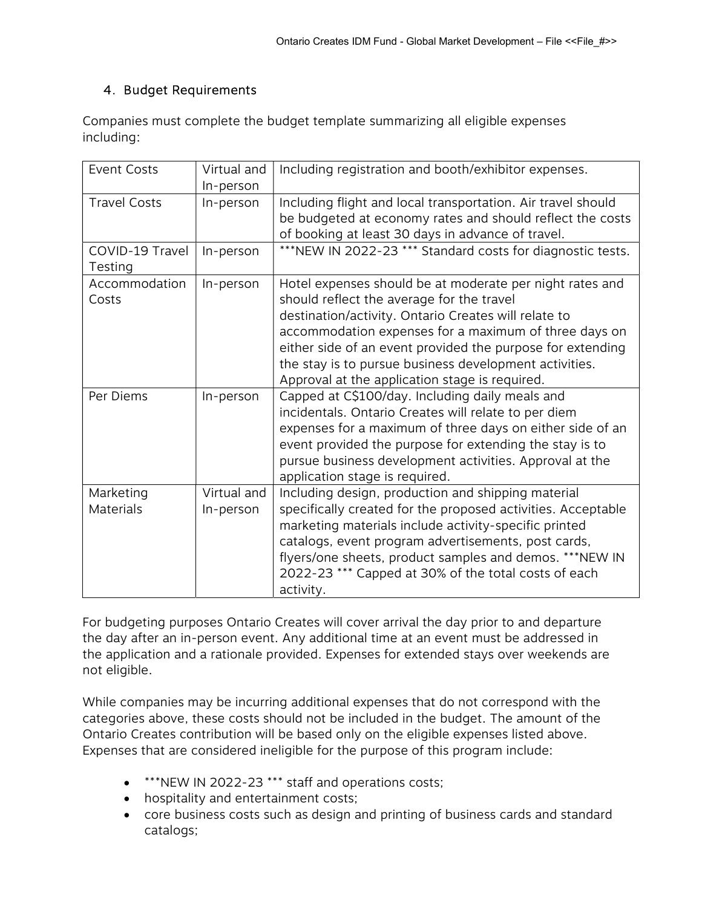#### 4. Budget Requirements

Companies must complete the budget template summarizing all eligible expenses including:

| <b>Event Costs</b>            | Virtual and<br>In-person | Including registration and booth/exhibitor expenses.                                                                                                                                                                                                                                                                                                                                             |
|-------------------------------|--------------------------|--------------------------------------------------------------------------------------------------------------------------------------------------------------------------------------------------------------------------------------------------------------------------------------------------------------------------------------------------------------------------------------------------|
| <b>Travel Costs</b>           | In-person                | Including flight and local transportation. Air travel should<br>be budgeted at economy rates and should reflect the costs<br>of booking at least 30 days in advance of travel.                                                                                                                                                                                                                   |
| COVID-19 Travel<br>Testing    | In-person                | ***NEW IN 2022-23 *** Standard costs for diagnostic tests.                                                                                                                                                                                                                                                                                                                                       |
| Accommodation<br>Costs        | In-person                | Hotel expenses should be at moderate per night rates and<br>should reflect the average for the travel<br>destination/activity. Ontario Creates will relate to<br>accommodation expenses for a maximum of three days on<br>either side of an event provided the purpose for extending<br>the stay is to pursue business development activities.<br>Approval at the application stage is required. |
| Per Diems                     | In-person                | Capped at C\$100/day. Including daily meals and<br>incidentals. Ontario Creates will relate to per diem<br>expenses for a maximum of three days on either side of an<br>event provided the purpose for extending the stay is to<br>pursue business development activities. Approval at the<br>application stage is required.                                                                     |
| Marketing<br><b>Materials</b> | Virtual and<br>In-person | Including design, production and shipping material<br>specifically created for the proposed activities. Acceptable<br>marketing materials include activity-specific printed<br>catalogs, event program advertisements, post cards,<br>flyers/one sheets, product samples and demos. ***NEW IN<br>2022-23 *** Capped at 30% of the total costs of each<br>activity.                               |

For budgeting purposes Ontario Creates will cover arrival the day prior to and departure the day after an in-person event. Any additional time at an event must be addressed in the application and a rationale provided. Expenses for extended stays over weekends are not eligible.

While companies may be incurring additional expenses that do not correspond with the categories above, these costs should not be included in the budget. The amount of the Ontario Creates contribution will be based only on the eligible expenses listed above. Expenses that are considered ineligible for the purpose of this program include:

- \*\*\*NEW IN 2022-23 \*\*\* staff and operations costs;
- hospitality and entertainment costs;
- core business costs such as design and printing of business cards and standard catalogs;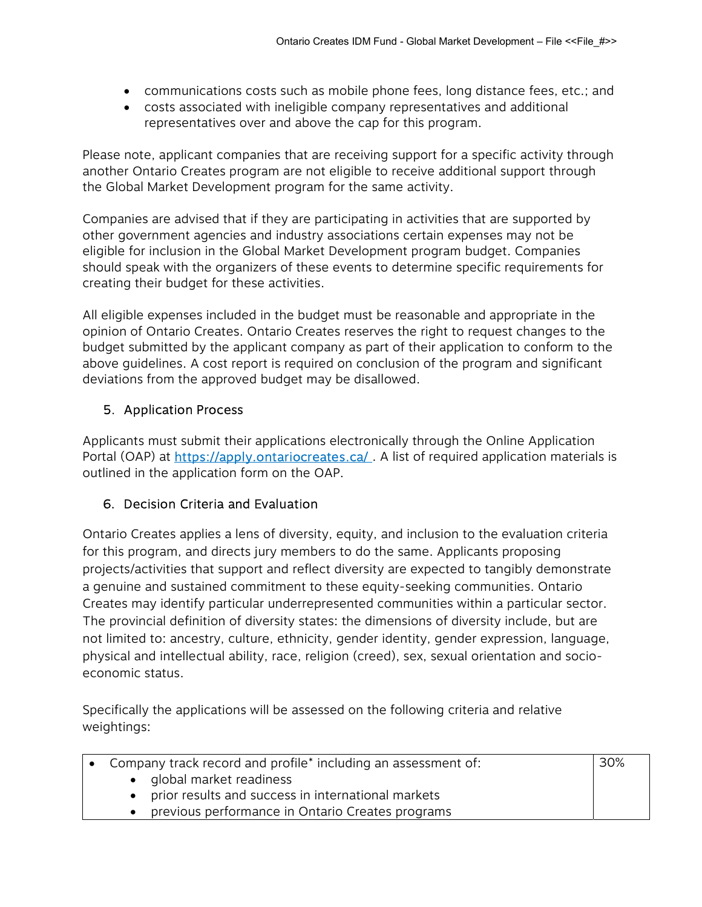- communications costs such as mobile phone fees, long distance fees, etc.; and
- costs associated with ineligible company representatives and additional representatives over and above the cap for this program.

Please note, applicant companies that are receiving support for a specific activity through another Ontario Creates program are not eligible to receive additional support through the Global Market Development program for the same activity.

Companies are advised that if they are participating in activities that are supported by other government agencies and industry associations certain expenses may not be eligible for inclusion in the Global Market Development program budget. Companies should speak with the organizers of these events to determine specific requirements for creating their budget for these activities.

All eligible expenses included in the budget must be reasonable and appropriate in the opinion of Ontario Creates. Ontario Creates reserves the right to request changes to the budget submitted by the applicant company as part of their application to conform to the above guidelines. A cost report is required on conclusion of the program and significant deviations from the approved budget may be disallowed.

#### 5. Application Process

Applicants must submit their applications electronically through the Online Application Portal (OAP) at https://apply.ontariocreates.ca/. A list of required application materials is outlined in the application form on the OAP.

#### 6. Decision Criteria and Evaluation

Ontario Creates applies a lens of diversity, equity, and inclusion to the evaluation criteria for this program, and directs jury members to do the same. Applicants proposing projects/activities that support and reflect diversity are expected to tangibly demonstrate a genuine and sustained commitment to these equity-seeking communities. Ontario Creates may identify particular underrepresented communities within a particular sector. The provincial definition of diversity states: the dimensions of diversity include, but are not limited to: ancestry, culture, ethnicity, gender identity, gender expression, language, physical and intellectual ability, race, religion (creed), sex, sexual orientation and socioeconomic status.

30%

Specifically the applications will be assessed on the following criteria and relative weightings:

- Company track record and profile\* including an assessment of:
	- global market readiness
	- prior results and success in international markets
	- previous performance in Ontario Creates programs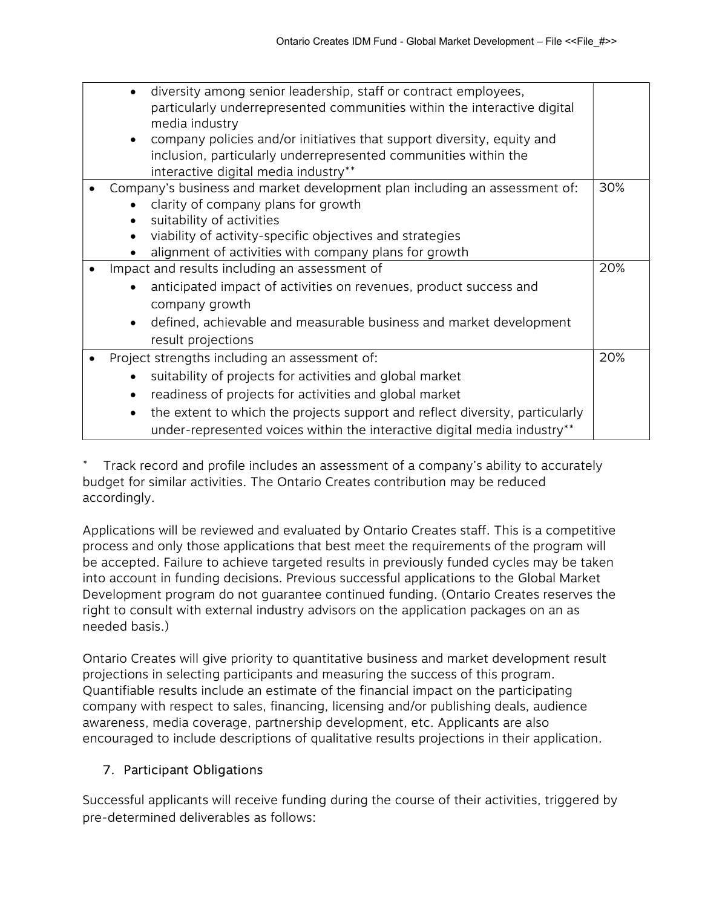|                                                                                                        | diversity among senior leadership, staff or contract employees,<br>particularly underrepresented communities within the interactive digital<br>media industry |     |  |
|--------------------------------------------------------------------------------------------------------|---------------------------------------------------------------------------------------------------------------------------------------------------------------|-----|--|
|                                                                                                        | company policies and/or initiatives that support diversity, equity and                                                                                        |     |  |
|                                                                                                        | inclusion, particularly underrepresented communities within the<br>interactive digital media industry**                                                       |     |  |
|                                                                                                        | Company's business and market development plan including an assessment of:                                                                                    | 30% |  |
|                                                                                                        | clarity of company plans for growth<br>suitability of activities                                                                                              |     |  |
|                                                                                                        | viability of activity-specific objectives and strategies                                                                                                      |     |  |
| alignment of activities with company plans for growth<br>Impact and results including an assessment of |                                                                                                                                                               |     |  |
|                                                                                                        | anticipated impact of activities on revenues, product success and                                                                                             | 20% |  |
|                                                                                                        | company growth                                                                                                                                                |     |  |
|                                                                                                        | defined, achievable and measurable business and market development                                                                                            |     |  |
|                                                                                                        | result projections                                                                                                                                            |     |  |
|                                                                                                        | Project strengths including an assessment of:                                                                                                                 |     |  |
|                                                                                                        | suitability of projects for activities and global market                                                                                                      |     |  |
|                                                                                                        | readiness of projects for activities and global market                                                                                                        |     |  |
|                                                                                                        | the extent to which the projects support and reflect diversity, particularly                                                                                  |     |  |
|                                                                                                        | under-represented voices within the interactive digital media industry**                                                                                      |     |  |

Track record and profile includes an assessment of a company's ability to accurately budget for similar activities. The Ontario Creates contribution may be reduced accordingly.

Applications will be reviewed and evaluated by Ontario Creates staff. This is a competitive process and only those applications that best meet the requirements of the program will be accepted. Failure to achieve targeted results in previously funded cycles may be taken into account in funding decisions. Previous successful applications to the Global Market Development program do not guarantee continued funding. (Ontario Creates reserves the right to consult with external industry advisors on the application packages on an as needed basis.)

Ontario Creates will give priority to quantitative business and market development result projections in selecting participants and measuring the success of this program. Quantifiable results include an estimate of the financial impact on the participating company with respect to sales, financing, licensing and/or publishing deals, audience awareness, media coverage, partnership development, etc. Applicants are also encouraged to include descriptions of qualitative results projections in their application.

## 7. Participant Obligations

Successful applicants will receive funding during the course of their activities, triggered by pre-determined deliverables as follows: